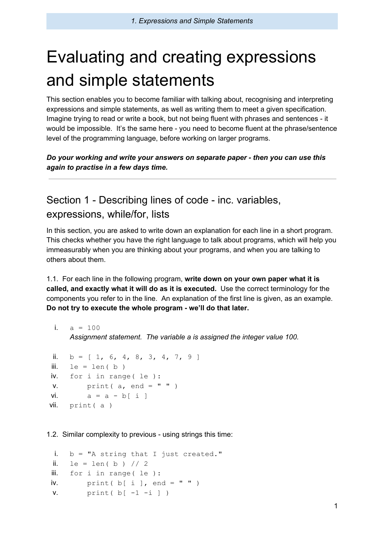# Evaluating and creating expressions and simple statements

This section enables you to become familiar with talking about, recognising and interpreting expressions and simple statements, as well as writing them to meet a given specification. Imagine trying to read or write a book, but not being fluent with phrases and sentences - it would be impossible. It's the same here - you need to become fluent at the phrase/sentence level of the programming language, before working on larger programs.

*Do your working and write your answers on separate paper - then you can use this again to practise in a few days time.*

# Section 1 - Describing lines of code - inc. variables, expressions, while/for, lists

In this section, you are asked to write down an explanation for each line in a short program. This checks whether you have the right language to talk about programs, which will help you immeasurably when you are thinking about your programs, and when you are talking to others about them.

1.1. For each line in the following program, **write down on your own paper what it is called, and exactly what it will do as it is executed.** Use the correct terminology for the components you refer to in the line. An explanation of the first line is given, as an example. **Do not try to execute the whole program - we'll do that later.**

```
i. a = 100Assignment statement. The variable a is assigned the integer value 100.
```

```
ii. b = [1, 6, 4, 8, 3, 4, 7, 9]iii. le = len(b)iv. for i in range( le ):
V. print (a, end = " ")
vi. a = a - b[i]vii. print( a )
```
1.2. Similar complexity to previous - using strings this time:

```
i. b = "A string that I just created."ii. le = len( b ) // 2iii. for i in range( le ):
iv. print(b[i], end = "")
V. print (b[-I -i])
```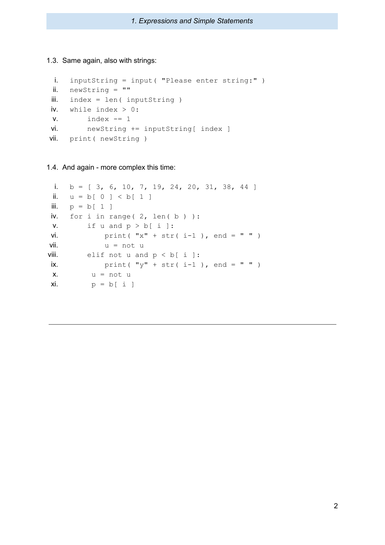```
1.3. Same again, also with strings:
```

```
i. inputString = input( "Please enter string:" )
ii. newString = ""
iii. index = len( inputString )
iv. while index > 0:
v. index - = 1vi. newString += inputString[ index ]
vii. print( newString )
```
1.4. And again - more complex this time:

```
i. b = [3, 6, 10, 7, 19, 24, 20, 31, 38, 44]ii. u = b[ 0 ] < b[ 1 ]iii. p = b[1]iv. for i in range( 2, len( b ) ):
v. if u and p > b [ i ]:
vi. print ("x" + str (i-1), end = "")
vii. u = not u
viii. elif not u and p < b[ i ]:
ix. print (''y'' + str(i-1), end = " ")
x. u = not uxi. p = b[i]
```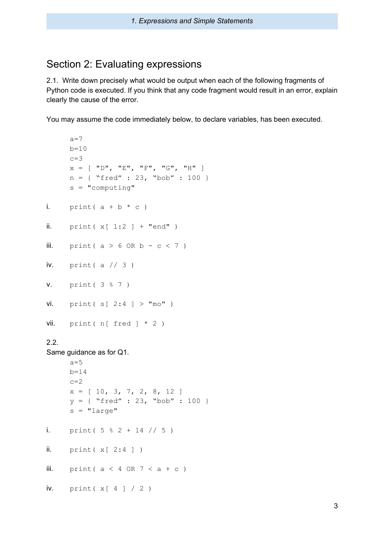## Section 2: Evaluating expressions

2.1. Write down precisely what would be output when each of the following fragments of Python code is executed. If you think that any code fragment would result in an error, explain clearly the cause of the error.

You may assume the code immediately below, to declare variables, has been executed.

```
a=7b=10c=3X = [ "D", "E", "F", "G", "H" ]n = { "fred" : 23, "bob" : 100 }
     s = "computing"
i. print (a + b * c)ii. print (x [ 1:2 ] + "end" )iii. print (a > 6 OR b - c < 7)
iv. print(a)/3)v. print( 3 % 7 )
vi. print( s[ 2:4 ] > "mo" )
vii. print( n[ fred ] * 2 )
2.2.
Same guidance as for Q1.
     a=5b=14c=2x = [ 10, 3, 7, 2, 8, 12 ]y = { "fred" : 23, "bob" : 100 }
     s = "large"
i. print (5 \t{8} 2 + 14) / 5)ii. print( x[ 2:4 ] )
iii. print (a < 4 \text{ OR } 7 < a + c)iv. print( x[ 4 ] / 2 )
```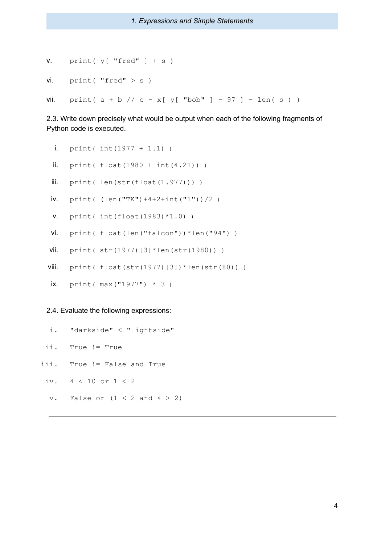$v.$  print(  $y$ [ "fred" ] + s )  $vi.$  print ("fred" > s) **vii.** print(  $a + b$  //  $c - x$ [  $y$ [ "bob" ] - 97 ] - len( s ) )

2.3. Write down precisely what would be output when each of the following fragments of Python code is executed.

```
i. print( int(1977 + 1.1) )
```
- $ii.$  print(  $float(1980 + int(4.21))$ )
- iii. print( len(str(float(1.977))) )
- iv. print(  $(len("TK") + 4 + 2 + int("1"))/2)$
- $v.$  print( int(float(1983) \*1.0))
- vi. print( float(len("falcon"))\*len("94") )
- vii. print( str(1977)[3]\*len(str(1980)) )
- viii. print( float(str(1977)[3])\*len(str(80)) )
- ix. print( $max("1977") * 3)$

#### 2.4. Evaluate the following expressions:

- i. "darkside" < "lightside"
- ii. True != True
- iii. True != False and True
	- iv. 4 < 10 or 1 < 2
	- v. False or  $(1 < 2$  and  $4 > 2)$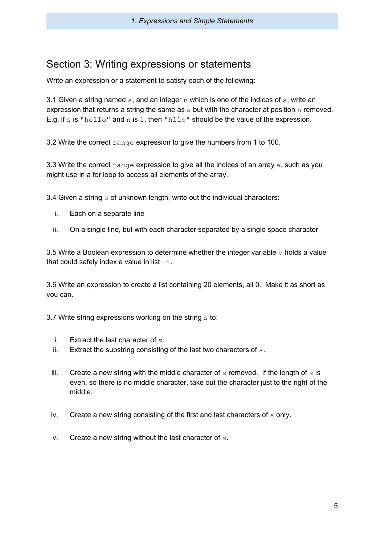# Section 3: Writing expressions or statements

Write an expression or a statement to satisfy each of the following:

3.1 Given a string named s, and an integer  $n$  which is one of the indices of s, write an expression that returns a string the same as s but with the character at position  $n$  removed. E.g. if s is "hello" and n is 1, then "hllo" should be the value of the expression.

3.2 Write the correct range expression to give the numbers from 1 to 100.

3.3 Write the correct range expression to give all the indices of an array  $a$ , such as you might use in a for loop to access all elements of the array.

3.4 Given a string s of unknown length, write out the individual characters:

- i. Each on a separate line
- ii. On a single line, but with each character separated by a single space character

3.5 Write a Boolean expression to determine whether the integer variable  $\vee$  holds a value that could safely index a value in list  $1\text{i}$ .

3.6 Write an expression to create a list containing 20 elements, all 0. Make it as short as you can.

3.7 Write string expressions working on the string  $s$  to:

- i. Extract the last character of s.
- ii. Extract the substring consisting of the last two characters of  $s$ .
- iii. Create a new string with the middle character of  $s$  removed. If the length of  $s$  is even, so there is no middle character, take out the character just to the right of the middle.
- iv. Create a new string consisting of the first and last characters of  $s$  only.
- v. Create a new string without the last character of  $s$ .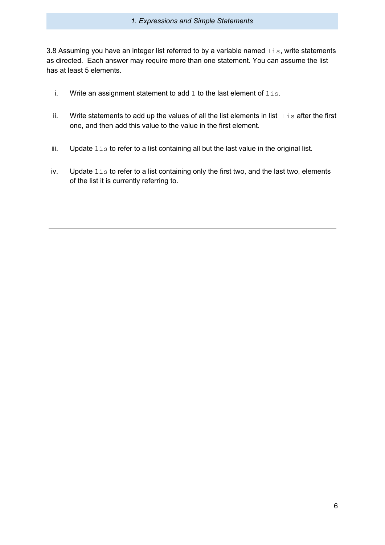#### *1. Expressions and Simple Statements*

3.8 Assuming you have an integer list referred to by a variable named  $\text{lis}$ , write statements as directed. Each answer may require more than one statement. You can assume the list has at least 5 elements.

- i. Write an assignment statement to add  $1$  to the last element of  $1 is$ .
- ii. Write statements to add up the values of all the list elements in list  $\exists$  is after the first one, and then add this value to the value in the first element.
- iii. Update  $\exists$  is to refer to a list containing all but the last value in the original list.
- iv. Update  $\lim_{n \to \infty}$  by refer to a list containing only the first two, and the last two, elements of the list it is currently referring to.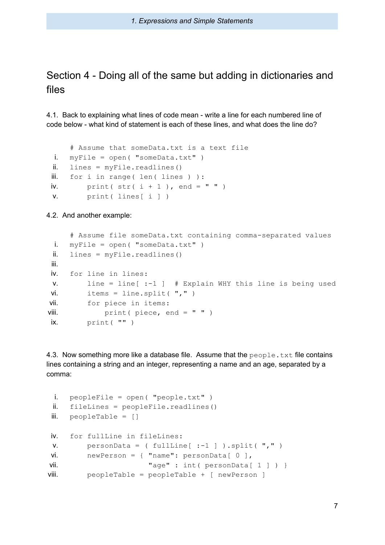## Section 4 - Doing all of the same but adding in dictionaries and files

4.1. Back to explaining what lines of code mean - write a line for each numbered line of code below - what kind of statement is each of these lines, and what does the line do?

```
# Assume that someData.txt is a text file
i. myFile = open( "someData.txt" )
ii. lines = myFile.readlines()
iii. for i in range( len( lines ) ):
iv. print(str(i + 1), end = "")
v. print( lines[ i ] )
```
4.2. And another example:

```
# Assume file someData.txt containing comma-separated values
 i. myFile = open( "someData.txt" )
 ii. lines = myFile.readlines()
iii.
iv. for line in lines:
v. line = line[ :-1 ] # Explain WHY this line is being used
vi. items = line.split(",")
vii. for piece in items:
viii. print( piece, end = " " )
ix. print( "" )
```
4.3. Now something more like a database file. Assume that the  $pepole.txt$  file contains lines containing a string and an integer, representing a name and an age, separated by a comma:

```
i. peopleFile = open( "people.txt" )
  ii. fileLines = peopleFile.readlines()
 iii. peopleTable = []
 iv. for fullLine in fileLines:
 v. personData = ( fullLine[ :-1 ] ).split( "," )
 vi. newPerson = { "name": personData[ 0 ],
vii. \blacksquare \blacksquare \blacksquare \blacksquare \blacksquare \blacksquare \blacksquare \blacksquare \blacksquare \blacksquare \blacksquare \blacksquare \blacksquare \blacksquare \blacksquare \blacksquare \blacksquare \blacksquare \blacksquare \blacksquare \blacksquare \blacksquare \blacksquare \blacksquare \blacksquare \blacksquare \blacksquare \blacksquare \blacksquare \blacksquare \blacksquare 
viii. peopleTable = peopleTable + [ newPerson ]
```